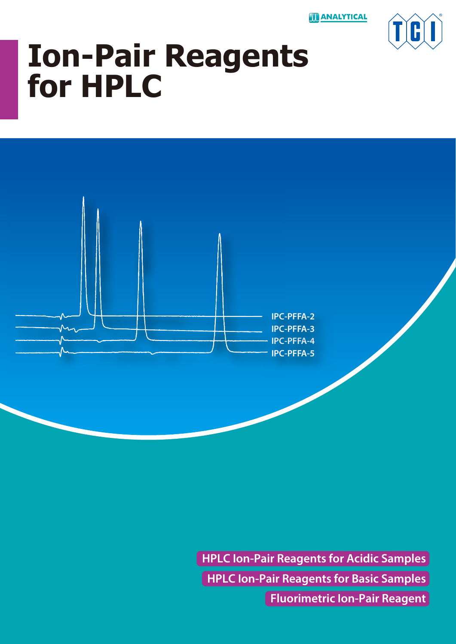**ANALYTICAL** 



# **Ion-Pair Reagents for HPLC**



**HPLC Ion-Pair Reagents for Basic Samples HPLC Ion-Pair Reagents for Acidic Samples Fluorimetric Ion-Pair Reagent**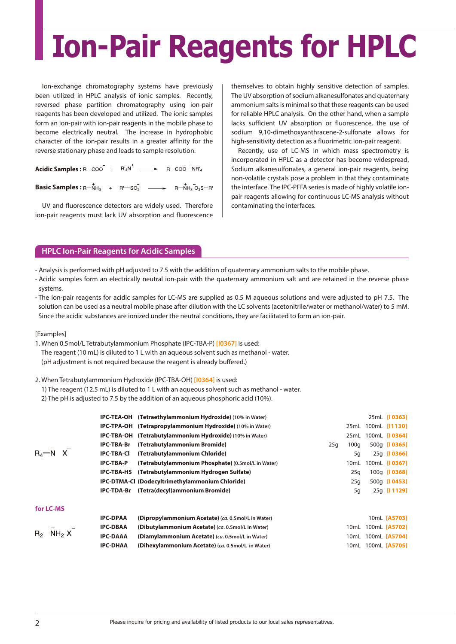# **Ion-Pair Reagents for HPLC**

Ion-exchange chromatography systems have previously been utilized in HPLC analysis of ionic samples. Recently, reversed phase partition chromatography using ion-pair reagents has been developed and utilized. The ionic samples form an ion-pair with ion-pair reagents in the mobile phase to become electrically neutral. The increase in hydrophobic character of the ion-pair results in a greater affinity for the reverse stationary phase and leads to sample resolution.

Acidic Samples : R-COO + R'4N<sup>+</sup> - R-COO + R-COO + R+R'A **Basic Samples :**  $R - NH_3$  +  $R' - SO_3$   $\longrightarrow$   $R - NH_3O_3S - R'$ 

UV and fluorescence detectors are widely used. Therefore ion-pair reagents must lack UV absorption and fluorescence themselves to obtain highly sensitive detection of samples. The UV absorption of sodium alkanesulfonates and quaternary ammonium salts is minimal so that these reagents can be used for reliable HPLC analysis. On the other hand, when a sample lacks sufficient UV absorption or fluorescence, the use of sodium 9,10-dimethoxyanthracene-2-sulfonate allows for high-sensitivity detection as a fluorimetric ion-pair reagent.

Recently, use of LC-MS in which mass spectrometry is incorporated in HPLC as a detector has become widespread. Sodium alkanesulfonates, a general ion-pair reagents, being non-volatile crystals pose a problem in that they contaminate the interface. The IPC-PFFA series is made of highly volatile ionpair reagents allowing for continuous LC-MS analysis without contaminating the interfaces.

## **HPLC Ion-Pair Reagents for Acidic Samples**

- Analysis is performed with pH adjusted to 7.5 with the addition of quaternary ammonium salts to the mobile phase.
- Acidic samples form an electrically neutral ion-pair with the quaternary ammonium salt and are retained in the reverse phase systems.
- The ion-pair reagents for acidic samples for LC-MS are supplied as 0.5 M aqueous solutions and were adjusted to pH 7.5. The solution can be used as a neutral mobile phase after dilution with the LC solvents (acetonitrile/water or methanol/water) to 5 mM. Since the acidic substances are ionized under the neutral conditions, they are facilitated to form an ion-pair.

[Examples]

1. When 0.5mol/L Tetrabutylammonium Phosphate (IPC-TBA-P) **[I0367]** is used: The reagent (10 mL) is diluted to 1 L with an aqueous solvent such as methanol - water. (pH adjustment is not required because the reagent is already buffered.)

### 2. When Tetrabutylammonium Hydroxide (IPC-TBA-OH) **[I0364]** is used:

- 1) The reagent (12.5 mL) is diluted to 1 L with an aqueous solvent such as methanol water.
- 2) The pH is adjusted to 7.5 by the addition of an aqueous phosphoric acid (10%).

|                                                    |                                                                                                                                                                                                                                         |      | 25mL [10363]                                     |
|----------------------------------------------------|-----------------------------------------------------------------------------------------------------------------------------------------------------------------------------------------------------------------------------------------|------|--------------------------------------------------|
|                                                    |                                                                                                                                                                                                                                         | 25mL | 100mL [11130]                                    |
| (Tetrabutylammonium Hydroxide) (10% in Water)      |                                                                                                                                                                                                                                         | 25mL | 100mL [10364]                                    |
| (Tetrabutylammonium Bromide)                       | 25q                                                                                                                                                                                                                                     | 100q | 500q [10365]                                     |
| (Tetrabutylammonium Chloride)                      |                                                                                                                                                                                                                                         | 5q   | 25g [10366]                                      |
| (Tetrabutylammonium Phosphate) (0.5mol/L in Water) |                                                                                                                                                                                                                                         | 10mL | 100mL [10367]                                    |
| (Tetrabutylammonium Hydrogen Sulfate)              |                                                                                                                                                                                                                                         | 25q  | 100g [10368]                                     |
|                                                    |                                                                                                                                                                                                                                         | 25q  | 500q [10453]                                     |
| (Tetra(decyl)ammonium Bromide)                     |                                                                                                                                                                                                                                         | 5g   | 25g [11129]                                      |
|                                                    |                                                                                                                                                                                                                                         |      |                                                  |
| (Dipropylammonium Acetate) (ca. 0.5mol/L in Water) |                                                                                                                                                                                                                                         |      | 10mL [A5703]                                     |
| (Dibutylammonium Acetate) (ca. 0.5mol/L in Water)  |                                                                                                                                                                                                                                         |      | 100mL [A5702]                                    |
| (Diamylammonium Acetate) (ca. 0.5mol/L in Water)   |                                                                                                                                                                                                                                         |      |                                                  |
| (Dihexylammonium Acetate) (ca. 0.5mol/L in Water)  |                                                                                                                                                                                                                                         |      |                                                  |
| <b>IPC-TBA-Br</b>                                  | IPC-TEA-OH (Tetraethylammonium Hydroxide) (10% in Water)<br><b>IPC-TPA-OH</b> (Tetrapropylammonium Hydroxide) (10% in Water)<br>IPC-TBA-OH<br><b>IPC-TBA-HS</b><br>IPC-DTMA-CI (Dodecyltrimethylammonium Chloride)<br><b>IPC-TDA-Br</b> |      | 10mL<br>10mL 100mL [A5704]<br>10mL 100mL [A5705] |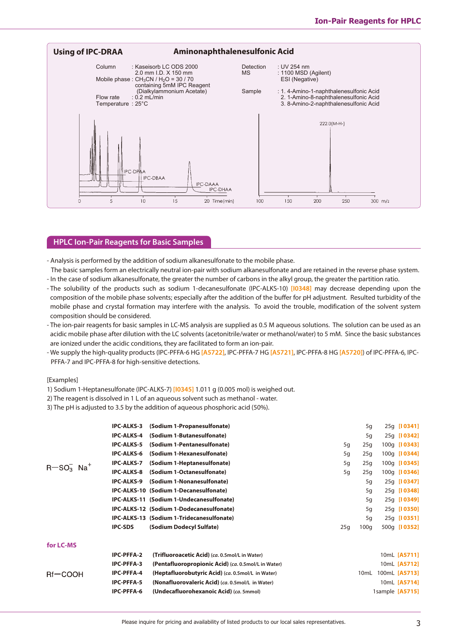

### **HPLC Ion-Pair Reagents for Basic Samples**

- Analysis is performed by the addition of sodium alkanesulfonate to the mobile phase.

 The basic samples form an electrically neutral ion-pair with sodium alkanesulfonate and are retained in the reverse phase system. - In the case of sodium alkanesulfonate, the greater the number of carbons in the alkyl group, the greater the partition ratio.

- The solubility of the products such as sodium 1-decanesulfonate (IPC-ALKS-10) **[I0348]** may decrease depending upon the composition of the mobile phase solvents; especially after the addition of the buffer for pH adjustment. Resulted turbidity of the mobile phase and crystal formation may interfere with the analysis. To avoid the trouble, modification of the solvent system composition should be considered.
- The ion-pair reagents for basic samples in LC-MS analysis are supplied as 0.5 M aqueous solutions. The solution can be used as an acidic mobile phase after dilution with the LC solvents (acetonitrile/water or methanol/water) to 5 mM. Since the basic substances are ionized under the acidic conditions, they are facilitated to form an ion-pair.
- We supply the high-quality products (IPC-PFFA-6 HG **[A5722]**, IPC-PFFA-7 HG **[A5721]**, IPC-PFFA-8 HG **[A5720]**) of IPC-PFFA-6, IPC-PFFA-7 and IPC-PFFA-8 for high-sensitive detections.

### [Examples]

1) Sodium 1-Heptanesulfonate (IPC-ALKS-7) **[I0345]** 1.011 g (0.005 mol) is weighed out.

2) The reagent is dissolved in 1 L of an aqueous solvent such as methanol - water.

3) The pH is adjusted to 3.5 by the addition of aqueous phosphoric acid (50%).

|                         | <b>IPC-ALKS-3</b> | (Sodium 1-Propanesulfonate)                         |     | 5q               | 25g [10341]     |
|-------------------------|-------------------|-----------------------------------------------------|-----|------------------|-----------------|
| $R-SO3$ Na <sup>+</sup> | <b>IPC-ALKS-4</b> | (Sodium 1-Butanesulfonate)                          |     | 5q               | 25g [10342]     |
|                         | <b>IPC-ALKS-5</b> | (Sodium 1-Pentanesulfonate)                         | 5q  | 25q              | 100g [10343]    |
|                         | <b>IPC-ALKS-6</b> | (Sodium 1-Hexanesulfonate)                          | 5q  | 25q              | 100g [10344]    |
|                         | <b>IPC-ALKS-7</b> | (Sodium 1-Heptanesulfonate)                         | 5q  | 25q              | 100g [10345]    |
|                         | <b>IPC-ALKS-8</b> | (Sodium 1-Octanesulfonate)                          | 5q  | 25q              | 100g [10346]    |
|                         | <b>IPC-ALKS-9</b> | (Sodium 1-Nonanesulfonate)                          |     | 5q               | 25g [10347]     |
|                         |                   | IPC-ALKS-10 (Sodium 1-Decanesulfonate)              |     | 5q               | 25g [10348]     |
|                         |                   | IPC-ALKS-11 (Sodium 1-Undecanesulfonate)            |     | 5q               | 25g [10349]     |
|                         |                   | IPC-ALKS-12 (Sodium 1-Dodecanesulfonate)            |     | 5q               | 25g [10350]     |
|                         |                   | IPC-ALKS-13 (Sodium 1-Tridecanesulfonate)           |     | 5q               | 25g [10351]     |
|                         | <b>IPC-SDS</b>    | (Sodium Dodecyl Sulfate)                            | 25q | 100q             | 500g [10352]    |
| for LC-MS               |                   |                                                     |     |                  |                 |
|                         | <b>IPC-PFFA-2</b> | (Trifluoroacetic Acid) (ca. 0.5mol/L in Water)      |     |                  | 10mL [A5711]    |
|                         | <b>IPC-PFFA-3</b> | (Pentafluoropropionic Acid) (ca. 0.5mol/L in Water) |     |                  | 10mL [A5712]    |
| $Rf$ - $COOH$           | <b>IPC-PFFA-4</b> | (Heptafluorobutyric Acid) (ca. 0.5mol/L in Water)   |     | 10 <sub>mL</sub> | 100mL [A5713]   |
|                         | <b>IPC-PFFA-5</b> | (Nonafluorovaleric Acid) (ca. 0.5mol/L in Water)    |     |                  | 10mL [A5714]    |
|                         | <b>IPC-PFFA-6</b> | (Undecafluorohexanoic Acid) (ca. 5mmol)             |     |                  | 1sample [A5715] |
|                         |                   |                                                     |     |                  |                 |